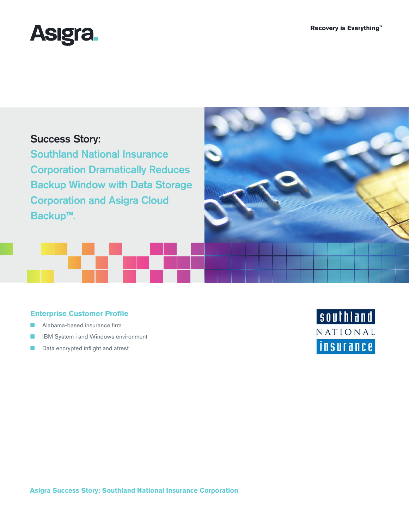

# Success Story:

Southland National Insurance Corporation Dramatically Reduces Backup Window with Data Storage Corporation and Asigra Cloud Backup**™**.

## **Enterprise Customer Profile**

- Alabama-based insurance firm
- IBM System i and Windows environment
- Data encrypted inflight and atrest



NATIONAL

*insurance*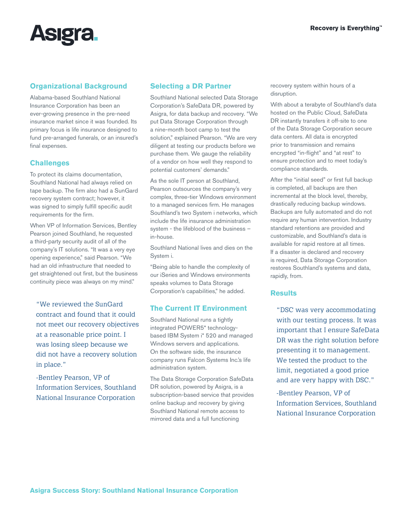

### **Organizational Background**

Alabama-based Southland National Insurance Corporation has been an ever-growing presence in the pre-need insurance market since it was founded. Its primary focus is life insurance designed to fund pre-arranged funerals, or an insured's final expenses.

#### **Challenges**

To protect its claims documentation, Southland National had always relied on tape backup. The firm also had a SunGard recovery system contract; however, it was signed to simply fulfill specific audit requirements for the firm.

When VP of Information Services, Bentley Pearson joined Southland, he requested a third-party security audit of all of the company's IT solutions. "It was a very eye opening experience," said Pearson. "We had an old infrastructure that needed to get straightened out first, but the business continuity piece was always on my mind."

"We reviewed the SunGard contract and found that it could not meet our recovery objectives at a reasonable price point. I was losing sleep because we did not have a recovery solution in place."

-Bentley Pearson, VP of Information Services, Southland National Insurance Corporation

#### **Selecting a DR Partner**

Southland National selected Data Storage Corporation's SafeData DR, powered by Asigra, for data backup and recovery. "We put Data Storage Corporation through a nine-month boot camp to test the solution," explained Pearson. "We are very diligent at testing our products before we purchase them. We gauge the reliability of a vendor on how well they respond to potential customers' demands."

As the sole IT person at Southland, Pearson outsources the company's very complex, three-tier Windows environment to a managed services firm. He manages Southland's two System i networks, which include the life insurance administration system - the lifeblood of the business – in-house.

Southland National lives and dies on the System i.

"Being able to handle the complexity of our iSeries and Windows environments speaks volumes to Data Storage Corporation's capabilities," he added.

#### **The Current IT Environment**

Southland National runs a tightly integrated POWER5\* technologybased IBM System i\* 520 and managed Windows servers and applications. On the software side, the insurance company runs Falcon Systems Inc.'s life administration system.

The Data Storage Corporation SafeData DR solution, powered by Asigra, is a subscription-based service that provides online backup and recovery by giving Southland National remote access to mirrored data and a full functioning

recovery system within hours of a disruption.

With about a terabyte of Southland's data hosted on the Public Cloud, SafeData DR instantly transfers it off-site to one of the Data Storage Corporation secure data centers. All data is encrypted prior to transmission and remains encrypted "in-flight" and "at rest" to ensure protection and to meet today's compliance standards.

After the "initial seed" or first full backup is completed, all backups are then incremental at the block level, thereby, drastically reducing backup windows. Backups are fully automated and do not require any human intervention. Industry standard retentions are provided and customizable, and Southland's data is available for rapid restore at all times. If a disaster is declared and recovery is required, Data Storage Corporation restores Southland's systems and data, rapidly, from.

#### **Results**

"DSC was very accommodating with our testing process. It was important that I ensure SafeData DR was the right solution before presenting it to management. We tested the product to the limit, negotiated a good price and are very happy with DSC."

-Bentley Pearson, VP of Information Services, Southland National Insurance Corporation